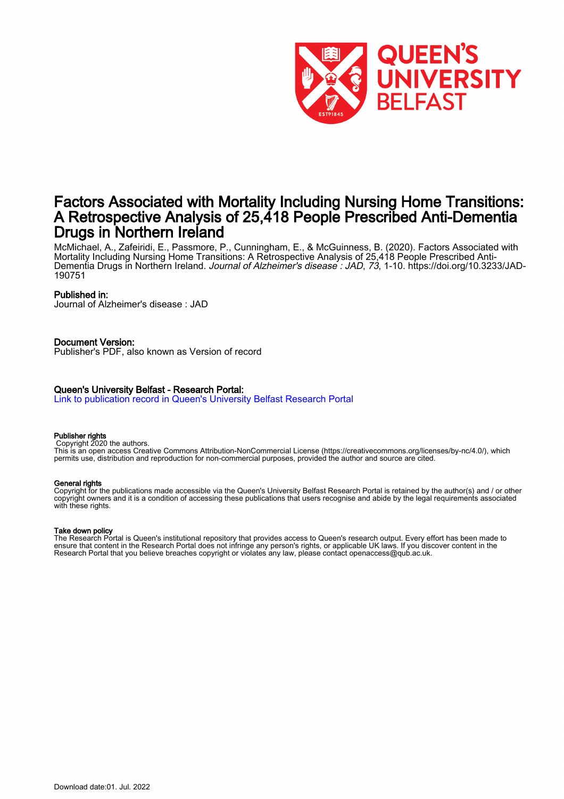

# Factors Associated with Mortality Including Nursing Home Transitions: A Retrospective Analysis of 25,418 People Prescribed Anti-Dementia Drugs in Northern Ireland

McMichael, A., Zafeiridi, E., Passmore, P., Cunningham, E., & McGuinness, B. (2020). Factors Associated with Mortality Including Nursing Home Transitions: A Retrospective Analysis of 25,418 People Prescribed Anti-Dementia Drugs in Northern Ireland. Journal of Alzheimer's disease : JAD, 73, 1-10. [https://doi.org/10.3233/JAD-](https://doi.org/10.3233/JAD-190751)[190751](https://doi.org/10.3233/JAD-190751)

# Published in:

Journal of Alzheimer's disease : JAD

# Document Version:

Publisher's PDF, also known as Version of record

# Queen's University Belfast - Research Portal:

[Link to publication record in Queen's University Belfast Research Portal](https://pure.qub.ac.uk/en/publications/bccb2eb1-7d41-4ee4-b28d-f1b048df0121)

#### Publisher rights

Copyright 2020 the authors.

This is an open access Creative Commons Attribution-NonCommercial License (https://creativecommons.org/licenses/by-nc/4.0/), which permits use, distribution and reproduction for non-commercial purposes, provided the author and source are cited.

# General rights

Copyright for the publications made accessible via the Queen's University Belfast Research Portal is retained by the author(s) and / or other copyright owners and it is a condition of accessing these publications that users recognise and abide by the legal requirements associated with these rights.

# Take down policy

The Research Portal is Queen's institutional repository that provides access to Queen's research output. Every effort has been made to ensure that content in the Research Portal does not infringe any person's rights, or applicable UK laws. If you discover content in the Research Portal that you believe breaches copyright or violates any law, please contact openaccess@qub.ac.uk.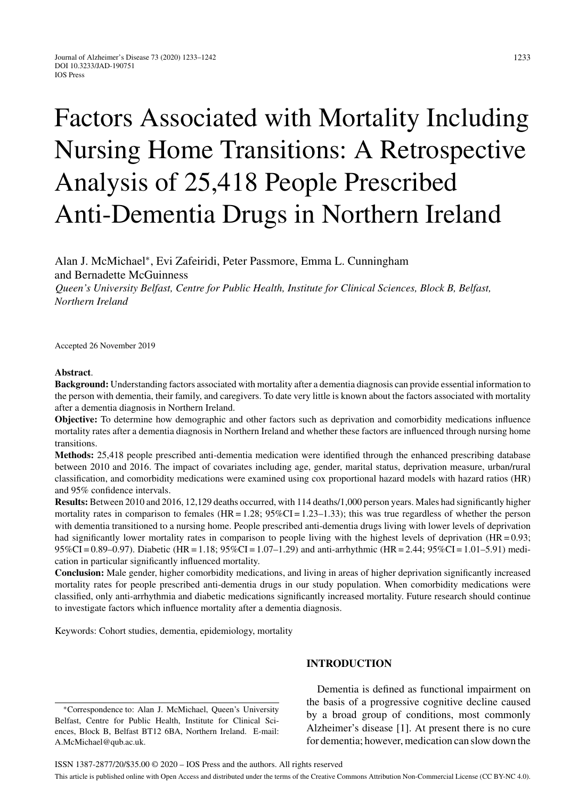# Factors Associated with Mortality Including Nursing Home Transitions: A Retrospective Analysis of 25,418 People Prescribed Anti-Dementia Drugs in Northern Ireland

Alan J. McMichael∗, Evi Zafeiridi, Peter Passmore, Emma L. Cunningham and Bernadette McGuinness *Queen's University Belfast, Centre for Public Health, Institute for Clinical Sciences, Block B, Belfast, Northern Ireland*

Accepted 26 November 2019

#### **Abstract**.

**Background:** Understanding factors associated with mortality after a dementia diagnosis can provide essential information to the person with dementia, their family, and caregivers. To date very little is known about the factors associated with mortality after a dementia diagnosis in Northern Ireland.

**Objective:** To determine how demographic and other factors such as deprivation and comorbidity medications influence mortality rates after a dementia diagnosis in Northern Ireland and whether these factors are influenced through nursing home transitions.

**Methods:** 25,418 people prescribed anti-dementia medication were identified through the enhanced prescribing database between 2010 and 2016. The impact of covariates including age, gender, marital status, deprivation measure, urban/rural classification, and comorbidity medications were examined using cox proportional hazard models with hazard ratios (HR) and 95% confidence intervals.

**Results:** Between 2010 and 2016, 12,129 deaths occurred, with 114 deaths/1,000 person years. Males had significantly higher mortality rates in comparison to females  $(HR = 1.28; 95\% CI = 1.23-1.33)$ ; this was true regardless of whether the person with dementia transitioned to a nursing home. People prescribed anti-dementia drugs living with lower levels of deprivation had significantly lower mortality rates in comparison to people living with the highest levels of deprivation (HR = 0.93; 95%CI = 0.89–0.97). Diabetic (HR = 1.18; 95%CI = 1.07–1.29) and anti-arrhythmic (HR = 2.44; 95%CI = 1.01–5.91) medication in particular significantly influenced mortality.

**Conclusion:** Male gender, higher comorbidity medications, and living in areas of higher deprivation significantly increased mortality rates for people prescribed anti-dementia drugs in our study population. When comorbidity medications were classified, only anti-arrhythmia and diabetic medications significantly increased mortality. Future research should continue to investigate factors which influence mortality after a dementia diagnosis.

Keywords: Cohort studies, dementia, epidemiology, mortality

∗Correspondence to: Alan J. McMichael, Queen's University Belfast, Centre for Public Health, Institute for Clinical Sciences, Block B, Belfast BT12 6BA, Northern Ireland. E-mail: [A.McMichael@qub.ac.uk](mailto:A.McMichael@qub.ac.uk).

#### **INTRODUCTION**

Dementia is defined as functional impairment on the basis of a progressive cognitive decline caused by a broad group of conditions, most commonly Alzheimer's disease [1]. At present there is no cure for dementia; however, medication can slow down the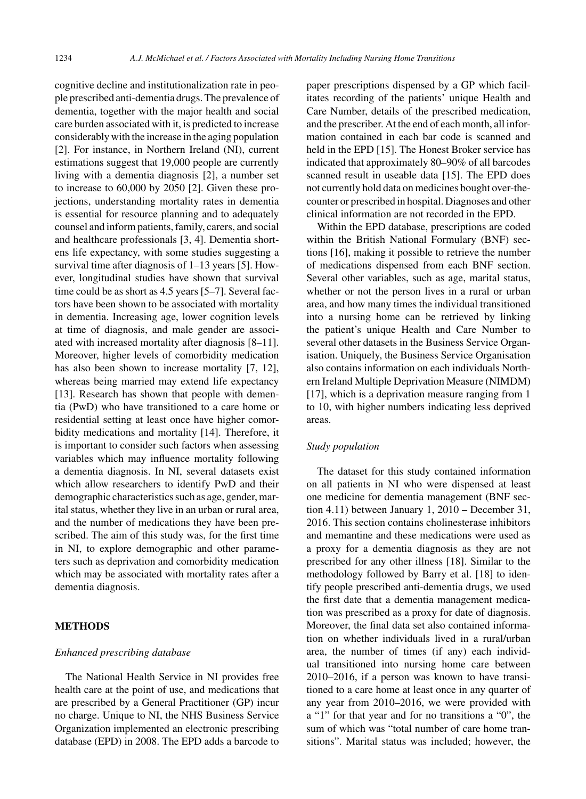cognitive decline and institutionalization rate in people prescribed anti-dementia drugs. The prevalence of dementia, together with the major health and social care burden associated with it, is predicted to increase considerably with the increase in the aging population [2]. For instance, in Northern Ireland (NI), current estimations suggest that 19,000 people are currently living with a dementia diagnosis [2], a number set to increase to 60,000 by 2050 [2]. Given these projections, understanding mortality rates in dementia is essential for resource planning and to adequately counsel and inform patients, family, carers, and social and healthcare professionals [3, 4]. Dementia shortens life expectancy, with some studies suggesting a survival time after diagnosis of 1–13 years [5]. However, longitudinal studies have shown that survival time could be as short as 4.5 years [5–7]. Several factors have been shown to be associated with mortality in dementia. Increasing age, lower cognition levels at time of diagnosis, and male gender are associated with increased mortality after diagnosis [8–11]. Moreover, higher levels of comorbidity medication has also been shown to increase mortality [7, 12], whereas being married may extend life expectancy [13]. Research has shown that people with dementia (PwD) who have transitioned to a care home or residential setting at least once have higher comorbidity medications and mortality [14]. Therefore, it is important to consider such factors when assessing variables which may influence mortality following a dementia diagnosis. In NI, several datasets exist which allow researchers to identify PwD and their demographic characteristics such as age, gender, marital status, whether they live in an urban or rural area, and the number of medications they have been prescribed. The aim of this study was, for the first time in NI, to explore demographic and other parameters such as deprivation and comorbidity medication which may be associated with mortality rates after a dementia diagnosis.

# **METHODS**

#### *Enhanced prescribing database*

The National Health Service in NI provides free health care at the point of use, and medications that are prescribed by a General Practitioner (GP) incur no charge. Unique to NI, the NHS Business Service Organization implemented an electronic prescribing database (EPD) in 2008. The EPD adds a barcode to

paper prescriptions dispensed by a GP which facilitates recording of the patients' unique Health and Care Number, details of the prescribed medication, and the prescriber. At the end of each month, all information contained in each bar code is scanned and held in the EPD [15]. The Honest Broker service has indicated that approximately 80–90% of all barcodes scanned result in useable data [15]. The EPD does not currently hold data on medicines bought over-thecounter or prescribed in hospital. Diagnoses and other clinical information are not recorded in the EPD.

Within the EPD database, prescriptions are coded within the British National Formulary (BNF) sections [16], making it possible to retrieve the number of medications dispensed from each BNF section. Several other variables, such as age, marital status, whether or not the person lives in a rural or urban area, and how many times the individual transitioned into a nursing home can be retrieved by linking the patient's unique Health and Care Number to several other datasets in the Business Service Organisation. Uniquely, the Business Service Organisation also contains information on each individuals Northern Ireland Multiple Deprivation Measure (NIMDM) [17], which is a deprivation measure ranging from 1 to 10, with higher numbers indicating less deprived areas.

#### *Study population*

The dataset for this study contained information on all patients in NI who were dispensed at least one medicine for dementia management (BNF section 4.11) between January 1, 2010 – December 31, 2016. This section contains cholinesterase inhibitors and memantine and these medications were used as a proxy for a dementia diagnosis as they are not prescribed for any other illness [18]. Similar to the methodology followed by Barry et al. [18] to identify people prescribed anti-dementia drugs, we used the first date that a dementia management medication was prescribed as a proxy for date of diagnosis. Moreover, the final data set also contained information on whether individuals lived in a rural/urban area, the number of times (if any) each individual transitioned into nursing home care between 2010–2016, if a person was known to have transitioned to a care home at least once in any quarter of any year from 2010–2016, we were provided with a "1" for that year and for no transitions a "0", the sum of which was "total number of care home transitions". Marital status was included; however, the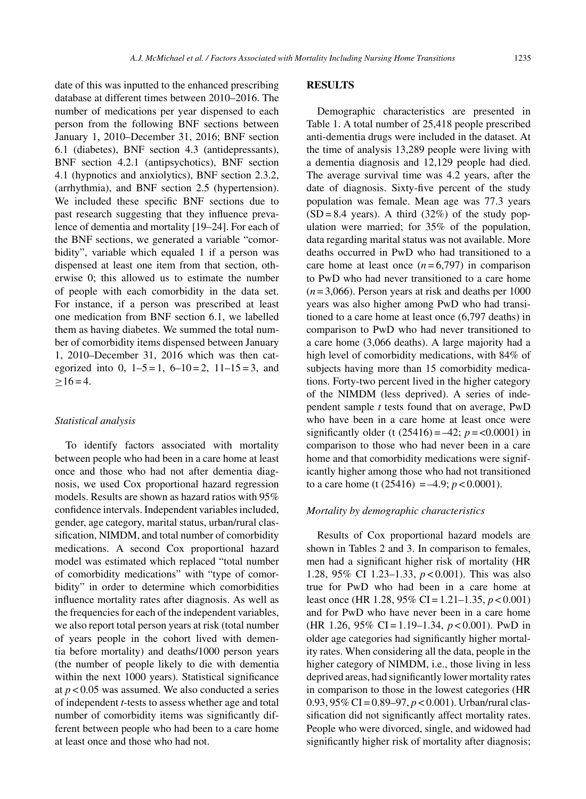date of this was inputted to the enhanced prescribing database at different times between 2010–2016. The number of medications per year dispensed to each person from the following BNF sections between January 1, 2010–December 31, 2016; BNF section 6.1 (diabetes), BNF section 4.3 (antidepressants), BNF section 4.2.1 (antipsychotics), BNF section 4.1 (hypnotics and anxiolytics), BNF section 2.3.2, (arrhythmia), and BNF section 2.5 (hypertension). We included these specific BNF sections due to past research suggesting that they influence prevalence of dementia and mortality [19–24]. For each of the BNF sections, we generated a variable "comorbidity", variable which equaled 1 if a person was dispensed at least one item from that section, otherwise 0; this allowed us to estimate the number of people with each comorbidity in the data set. For instance, if a person was prescribed at least one medication from BNF section 6.1, we labelled them as having diabetes. We summed the total number of comorbidity items dispensed between January 1, 2010–December 31, 2016 which was then categorized into 0,  $1-5=1$ ,  $6-10=2$ ,  $11-15=3$ , and  $>16 = 4.$ 

# *Statistical analysis*

To identify factors associated with mortality between people who had been in a care home at least once and those who had not after dementia diagnosis, we used Cox proportional hazard regression models. Results are shown as hazard ratios with 95% confidence intervals. Independent variables included, gender, age category, marital status, urban/rural classification, NIMDM, and total number of comorbidity medications. A second Cox proportional hazard model was estimated which replaced "total number of comorbidity medications" with "type of comorbidity" in order to determine which comorbidities influence mortality rates after diagnosis. As well as the frequencies for each of the independent variables, we also report total person years at risk (total number of years people in the cohort lived with dementia before mortality) and deaths/1000 person years (the number of people likely to die with dementia within the next 1000 years). Statistical significance at  $p < 0.05$  was assumed. We also conducted a series of independent *t*-tests to assess whether age and total number of comorbidity items was significantly different between people who had been to a care home at least once and those who had not.

### **RESULTS**

Demographic characteristics are presented in Table 1. A total number of 25,418 people prescribed anti-dementia drugs were included in the dataset. At the time of analysis 13,289 people were living with a dementia diagnosis and 12,129 people had died. The average survival time was 4.2 years, after the date of diagnosis. Sixty-five percent of the study population was female. Mean age was 77.3 years  $(SD = 8.4 \text{ years})$ . A third  $(32\%)$  of the study population were married; for 35% of the population, data regarding marital status was not available. More deaths occurred in PwD who had transitioned to a care home at least once  $(n=6,797)$  in comparison to PwD who had never transitioned to a care home  $(n=3,066)$ . Person years at risk and deaths per 1000 years was also higher among PwD who had transitioned to a care home at least once (6,797 deaths) in comparison to PwD who had never transitioned to a care home (3,066 deaths). A large majority had a high level of comorbidity medications, with 84% of subjects having more than 15 comorbidity medications. Forty-two percent lived in the higher category of the NIMDM (less deprived). A series of independent sample *t* tests found that on average, PwD who have been in a care home at least once were significantly older (t  $(25416) = -42$ ;  $p = <0.0001$ ) in comparison to those who had never been in a care home and that comorbidity medications were significantly higher among those who had not transitioned to a care home (t  $(25416) = -4.9$ ;  $p < 0.0001$ ).

#### *Mortality by demographic characteristics*

Results of Cox proportional hazard models are shown in Tables 2 and 3. In comparison to females, men had a significant higher risk of mortality (HR 1.28, 95% CI 1.23–1.33, *p* < 0.001). This was also true for PwD who had been in a care home at least once (HR 1.28, 95% CI = 1.21–1.35, *p* < 0.001) and for PwD who have never been in a care home (HR 1.26, 95% CI = 1.19–1.34,  $p < 0.001$ ). PwD in older age categories had significantly higher mortality rates. When considering all the data, people in the higher category of NIMDM, i.e., those living in less deprived areas, had significantly lower mortality rates in comparison to those in the lowest categories (HR 0.93, 95% CI = 0.89–97, *p* < 0.001). Urban/rural classification did not significantly affect mortality rates. People who were divorced, single, and widowed had significantly higher risk of mortality after diagnosis;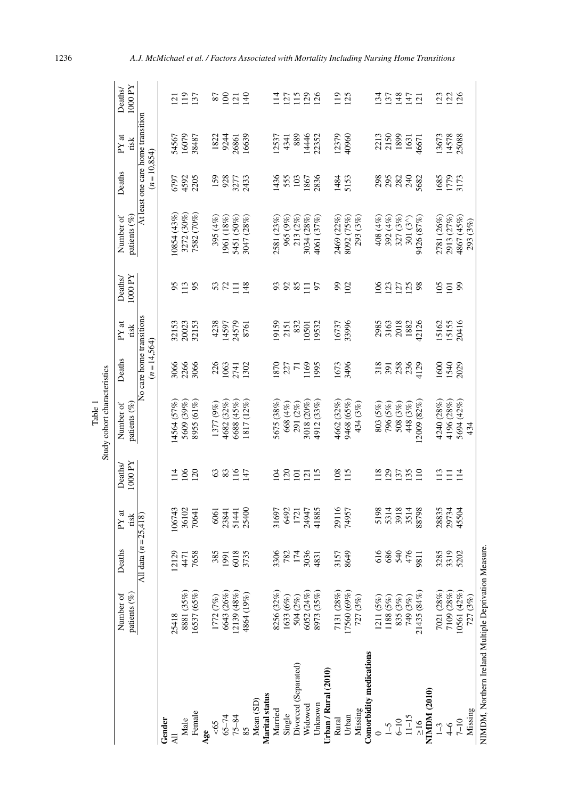|                                                       |                           |                          |                       |                         | Study cohort characteristics<br>Table 1 |                                          |                |                    |                              |              |                                   |                          |
|-------------------------------------------------------|---------------------------|--------------------------|-----------------------|-------------------------|-----------------------------------------|------------------------------------------|----------------|--------------------|------------------------------|--------------|-----------------------------------|--------------------------|
|                                                       | Number of<br>patients (%) | Deaths                   | PY at<br>risk         | 1000PY<br>Deaths/       | Number of<br>patients $(\%)$            | Deaths                                   | PY at<br>risk  | 1000 PY<br>Deaths/ | Number of<br>patients $(\%)$ | Deaths       | PY at<br>risk                     | 1000PY<br><b>Deaths/</b> |
|                                                       |                           | All data $(n = 25, 418)$ |                       |                         |                                         | No care home transitions<br>$(n=14,564)$ |                |                    |                              | $(n=10,854)$ | At least one care home transition |                          |
| Gender                                                |                           |                          |                       |                         |                                         |                                          |                |                    |                              |              |                                   |                          |
| $\overline{\mathcal{A}}$                              | 25418                     | 121                      | 106743                | $\Xi$                   | 4564 (57%)                              | 3066                                     | 32153          | 95                 | 0854 (43%                    | 5797         | 54567                             | $\overline{a}$           |
| Male                                                  | 8881 (35%)                | 12129<br>4471<br>7658    | 36102                 | 106                     | 5609 (39%)                              | 2266                                     | 20023          |                    | 3272 (30%)                   | 4592         | 16079                             | 119                      |
| Female                                                | 16537 (65%)               |                          | 70641                 | 120                     | 8955 (61%)                              | 3066                                     | 32153          | $\frac{13}{95}$    | 7582 (70%                    | 2205         | 38487                             | 137                      |
| Age                                                   |                           |                          |                       |                         |                                         |                                          |                |                    |                              |              |                                   |                          |
| 59                                                    | 1772 (7%)                 | 385                      | 6061                  |                         | 1377 (9%)                               | 226                                      | 4238           |                    | 395 (4%)                     | <b>159</b>   | 1822                              | 87                       |
| $65 - 74$                                             | 6643 (26%)                | 1991                     | 23841                 | $a \times \overline{a}$ | 4682 (32%)                              | 1063                                     | 14597<br>24579 | $52$<br>$72$       | 1961 (18%)                   | 9277         | 9244<br>26861                     | $\frac{100}{21}$         |
| $75 - 84$                                             | 12139 (48%)               | 6018                     | 51441                 |                         | 6688 (45%)                              | 2741                                     |                |                    | 5451 (50%)                   |              |                                   |                          |
| 85                                                    | 4864 (19%)                | 3735                     | 25400                 | 147                     | 1817(12%)                               | 1302                                     | 8761           | 148                | 3047 (28%)                   | 2433         | 16639                             | $\overline{140}$         |
| Mean (SD)                                             |                           |                          |                       |                         |                                         |                                          |                |                    |                              |              |                                   |                          |
| Marital status                                        |                           |                          |                       |                         |                                         |                                          |                |                    |                              |              |                                   |                          |
| Married                                               | 8256 (32%)                |                          | 31697                 | $\overline{a}$          | 5675 (38%)                              | 1870                                     | 9159           |                    | 2581 (23%)                   | 1436         | 12537                             | $\overline{14}$          |
| Single                                                | 1633(6%)                  |                          | 6492                  | $\overline{20}$         | 668 (4%)                                |                                          | 2151           |                    | 965 (9%)                     |              | 4341                              | 127                      |
| Divorced (Separated)                                  | 504 (2%)                  | 3306<br>782<br>174       | 1721                  | $\overline{a}$          | 291 (2%)                                | 227<br>71                                | 832            |                    | 213 (2%)                     | 555          | 889                               |                          |
| Widowed                                               | 6052 (24%)                | 3036<br>4831             | 24947                 | 121                     | 3018 (20%)                              | 1169                                     | 10501          | 988725             | 3034 (28%)                   | 1867         | 14446                             | $115$<br>$126$           |
| Unknown                                               | 8973 (35%)                |                          | 41885                 | 115                     | 4912(33%)                               | 1995                                     | 19532          |                    | 4061 (37%)                   | 2836         | 22352                             |                          |
| Urban / Rural (2010)                                  |                           |                          |                       |                         |                                         |                                          |                |                    |                              |              |                                   |                          |
| Rural                                                 | 7131 (28%)                | 3157<br>8649             | 29116<br>74957        | 108                     | 4662 (32%)                              | 1673                                     | 16737          | $\frac{9}{2}$      | 2469 (22%)                   | 1484         | 12379<br>40960                    | 119                      |
| Urban                                                 | 17560 (69%)               |                          |                       | 115                     | 9468 (65%)                              | 3496                                     | 33996          |                    | 8092 (75%)                   | 5153         |                                   | 125                      |
| Missing                                               | 727 (3%)                  |                          |                       |                         | 434 (3%)                                |                                          |                |                    | 293 (3%)                     |              |                                   |                          |
| Comorbidity medications                               |                           |                          |                       |                         |                                         |                                          |                |                    |                              |              |                                   |                          |
|                                                       | 1211(5%                   | 516                      |                       | $\frac{18}{2}$          | 803(5%                                  |                                          | 2985           |                    | 408 (4%)                     |              | 2213<br>2150                      | $\overline{.34}$         |
| $\zeta$ –1                                            | 1188(5%)                  | <b>86</b><br>540         | 5198<br>5314          | $\frac{29}{137}$        | 796 (5%)                                |                                          | 3163           |                    | 392 (4%)                     |              |                                   | 137                      |
| $6 - 10$                                              | 835 (3%)                  |                          |                       |                         | 508 (3%)                                |                                          | 2018           |                    | 327 (3%)                     |              | 1899                              | 148                      |
| $11 - 15$                                             | 749 (3%)                  | 476<br>9811              | 3918<br>3514<br>88798 |                         | 448 (3%)                                | 33<br>35<br>38<br>23                     | 1882           | <u>ទនួងដូន</u>     | $301(3^{\circ})$             | ន្តន្តន្ត    | 1631                              | 147                      |
| $\geq 16$                                             | 21435 (84%)               |                          |                       | $\Xi$                   | (2009 (82%)                             | 4129                                     | 42126          |                    | 9426 (87%)                   | 5682         | 46671                             | $\overline{21}$          |
| NIMDM (2010)                                          |                           |                          |                       |                         |                                         |                                          |                |                    |                              |              |                                   |                          |
| $1 - 3$                                               | 7021 (28%)                | 3285<br>3319<br>5202     | 28835                 | 113                     | 4240 (28%)                              | 1600                                     | 15162          | 105                | 2781 (26%)                   | 1685         | 13673<br>14578<br>25088           |                          |
| $\frac{4}{6}$                                         | 7109 (28%)                |                          |                       | $\Xi$                   | 4196 (28%)                              | 1540                                     | 15155          | 101                | 2913 (27%)                   |              |                                   | 123<br>126               |
| $7 - 10$                                              | 0561 (42%)                |                          | 29734<br>45504        | $\overline{14}$         | 5694 (42%)                              | 2029                                     | 20416          | 99                 | 4867 (45%)                   | 1779<br>3173 |                                   |                          |
| Missing                                               | 727 (3%)                  |                          |                       |                         | 434                                     |                                          |                |                    | 293 (3%)                     |              |                                   |                          |
| NIMDM, Northern Ireland Multiple Deprivation Measure. |                           |                          |                       |                         |                                         |                                          |                |                    |                              |              |                                   |                          |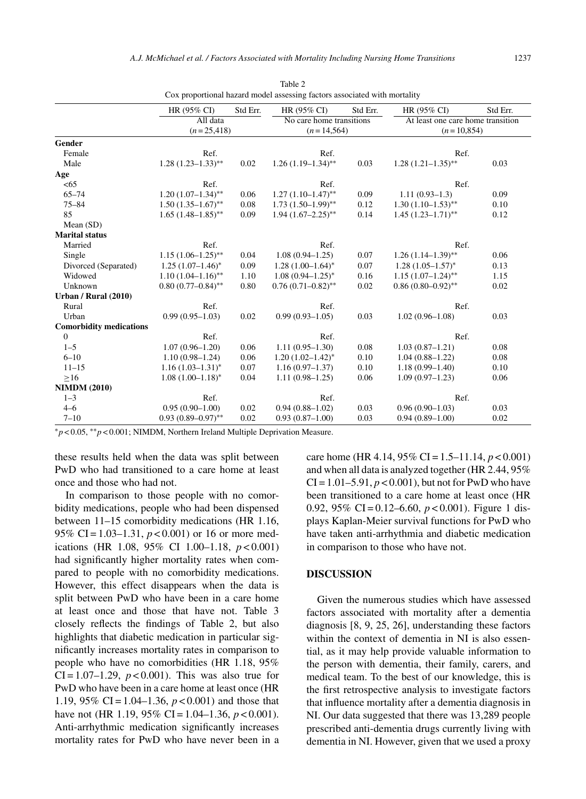|                                | HR $(95\%$ CI)                  | Std Err. | HR $(95\%$ CI)          | Std Err.                 | HR $(95\%$ CI)         | Std Err.                          |  |
|--------------------------------|---------------------------------|----------|-------------------------|--------------------------|------------------------|-----------------------------------|--|
|                                | All data                        |          |                         | No care home transitions |                        | At least one care home transition |  |
|                                | $(n=25,418)$                    |          | $(n=14,564)$            |                          | $(n=10,854)$           |                                   |  |
| Gender                         |                                 |          |                         |                          |                        |                                   |  |
| Female                         | Ref.                            |          | Ref.                    |                          | Ref.                   |                                   |  |
| Male                           | $1.28(1.23 - 1.33)$ **          | 0.02     | $1.26(1.19-1.34)$ **    | 0.03                     | $1.28(1.21-1.35)$ **   | 0.03                              |  |
| Age                            |                                 |          |                         |                          |                        |                                   |  |
| <65                            | Ref.                            |          | Ref.                    |                          | Ref.                   |                                   |  |
| $65 - 74$                      | $1.20(1.07-1.34)$ **            | 0.06     | $1.27(1.10-1.47)$ **    | 0.09                     | $1.11(0.93-1.3)$       | 0.09                              |  |
| $75 - 84$                      | $1.50(1.35-1.67)$ **            | 0.08     | $1.73(1.50-1.99)$ **    | 0.12                     | $1.30(1.10-1.53)$ **   | 0.10                              |  |
| 85                             | $1.65(1.48-1.85)$ **            | 0.09     | $1.94(1.67-2.25)$ **    | 0.14                     | $1.45(1.23-1.71)$ **   | 0.12                              |  |
| Mean $(SD)$                    |                                 |          |                         |                          |                        |                                   |  |
| <b>Marital status</b>          |                                 |          |                         |                          |                        |                                   |  |
| Married                        | Ref.                            |          | Ref.                    |                          | Ref.                   |                                   |  |
| Single                         | $1.15(1.06-1.25)$ **            | 0.04     | $1.08(0.94 - 1.25)$     | 0.07                     | $1.26(1.14-1.39)$ **   | 0.06                              |  |
| Divorced (Separated)           | $1.25(1.07-1.46)^{*}$           | 0.09     | $1.28(1.00-1.64)$ *     | 0.07                     | $1.28(1.05 - 1.57)^*$  | 0.13                              |  |
| Widowed                        | $1.10(1.04-1.16)$ <sup>**</sup> | 1.10     | $1.08(0.94 - 1.25)^*$   | 0.16                     | $1.15(1.07-1.24)$ **   | 1.15                              |  |
| Unknown                        | $0.80(0.77-0.84)$ **            | 0.80     | $0.76(0.71-0.82)$ **    | 0.02                     | $0.86(0.80 - 0.92)$ ** | 0.02                              |  |
| <b>Urban / Rural (2010)</b>    |                                 |          |                         |                          |                        |                                   |  |
| Rural                          | Ref.                            |          | Ref.                    |                          | Ref.                   |                                   |  |
| Urban                          | $0.99(0.95 - 1.03)$             | 0.02     | $0.99(0.93 - 1.05)$     | 0.03                     | $1.02(0.96 - 1.08)$    | 0.03                              |  |
| <b>Comorbidity medications</b> |                                 |          |                         |                          |                        |                                   |  |
| $\mathbf{0}$                   | Ref.                            |          | Ref.                    |                          | Ref.                   |                                   |  |
| $1 - 5$                        | $1.07(0.96 - 1.20)$             | 0.06     | $1.11(0.95-1.30)$       | 0.08                     | $1.03(0.87 - 1.21)$    | 0.08                              |  |
| $6 - 10$                       | $1.10(0.98 - 1.24)$             | 0.06     | $1.20(1.02 - 1.42)^{*}$ | 0.10                     | $1.04(0.88 - 1.22)$    | 0.08                              |  |
| $11 - 15$                      | $1.16(1.03-1.31)^*$             | 0.07     | $1.16(0.97-1.37)$       | 0.10                     | $1.18(0.99 - 1.40)$    | 0.10                              |  |
| $\geq$ 16                      | $1.08(1.00-1.18)$ *             | 0.04     | $1.11(0.98-1.25)$       | 0.06                     | $1.09(0.97-1.23)$      | 0.06                              |  |
| <b>NIMDM (2010)</b>            |                                 |          |                         |                          |                        |                                   |  |
| $1 - 3$                        | Ref.                            |          | Ref.                    |                          | Ref.                   |                                   |  |
| $4 - 6$                        | $0.95(0.90 - 1.00)$             | 0.02     | $0.94(0.88 - 1.02)$     | 0.03                     | $0.96(0.90-1.03)$      | 0.03                              |  |
| $7 - 10$                       | $0.93(0.89 - 0.97)$ **          | 0.02     | $0.93(0.87-1.00)$       | 0.03                     | $0.94(0.89 - 1.00)$    | 0.02                              |  |

Table 2 Cox proportional hazard model assessing factors associated with mortality

∗*p* < 0.05, ∗∗*p* < 0.001; NIMDM, Northern Ireland Multiple Deprivation Measure.

these results held when the data was split between PwD who had transitioned to a care home at least once and those who had not.

In comparison to those people with no comorbidity medications, people who had been dispensed between 11–15 comorbidity medications (HR 1.16, 95% CI = 1.03–1.31, *p* < 0.001) or 16 or more medications (HR 1.08, 95% CI 1.00–1.18, *p* < 0.001) had significantly higher mortality rates when compared to people with no comorbidity medications. However, this effect disappears when the data is split between PwD who have been in a care home at least once and those that have not. Table 3 closely reflects the findings of Table 2, but also highlights that diabetic medication in particular significantly increases mortality rates in comparison to people who have no comorbidities (HR 1.18, 95% CI =  $1.07 - 1.29$ ,  $p < 0.001$ ). This was also true for PwD who have been in a care home at least once (HR 1.19, 95% CI = 1.04–1.36,  $p < 0.001$ ) and those that have not (HR 1.19, 95% CI = 1.04–1.36,  $p < 0.001$ ). Anti-arrhythmic medication significantly increases mortality rates for PwD who have never been in a care home (HR 4.14, 95% CI = 1.5–11.14, *p* < 0.001) and when all data is analyzed together (HR 2.44, 95%  $CI = 1.01 - 5.91, p < 0.001$ , but not for PwD who have been transitioned to a care home at least once (HR 0.92, 95% CI = 0.12–6.60, *p* < 0.001). Figure 1 displays Kaplan-Meier survival functions for PwD who have taken anti-arrhythmia and diabetic medication in comparison to those who have not.

#### **DISCUSSION**

Given the numerous studies which have assessed factors associated with mortality after a dementia diagnosis [8, 9, 25, 26], understanding these factors within the context of dementia in NI is also essential, as it may help provide valuable information to the person with dementia, their family, carers, and medical team. To the best of our knowledge, this is the first retrospective analysis to investigate factors that influence mortality after a dementia diagnosis in NI. Our data suggested that there was 13,289 people prescribed anti-dementia drugs currently living with dementia in NI. However, given that we used a proxy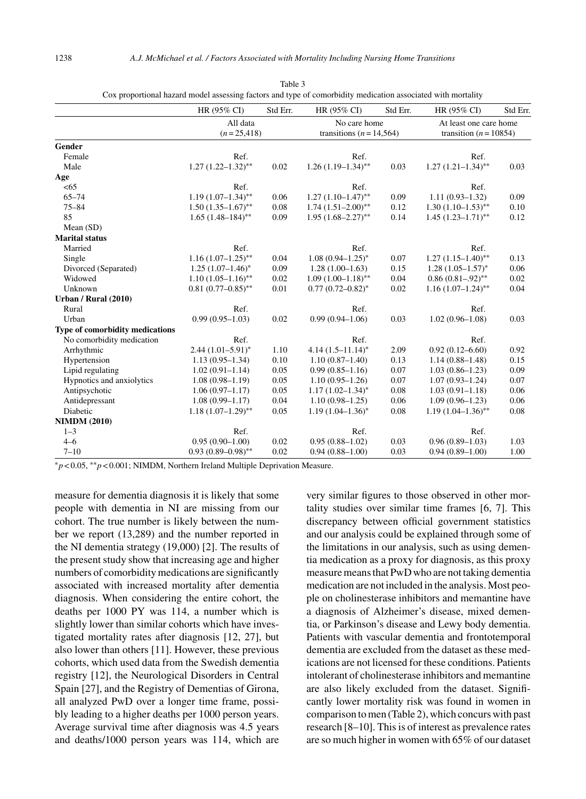|                                 | HR (95% CI)            | Std Err. | HR (95% CI)                  | Std Err. | HR (95% CI)                | Std Err. |
|---------------------------------|------------------------|----------|------------------------------|----------|----------------------------|----------|
|                                 | All data               |          | No care home                 |          | At least one care home     |          |
|                                 | $(n=25,418)$           |          | transitions ( $n = 14,564$ ) |          | transition ( $n = 10854$ ) |          |
| Gender                          |                        |          |                              |          |                            |          |
| Female                          | Ref.                   |          | Ref.                         |          | Ref.                       |          |
| Male                            | $1.27(1.22 - 1.32)$ ** | 0.02     | $1.26(1.19-1.34)$ **         | 0.03     | $1.27(1.21-1.34)$ **       | 0.03     |
| Age                             |                        |          |                              |          |                            |          |
| <65                             | Ref.                   |          | Ref.                         |          | Ref.                       |          |
| $65 - 74$                       | $1.19(1.07-1.34)$ **   | 0.06     | $1.27(1.10-1.47)$ **         | 0.09     | $1.11(0.93 - 1.32)$        | 0.09     |
| $75 - 84$                       | $1.50(1.35-1.67)$ **   | 0.08     | $1.74(1.51-2.00)$ **         | 0.12     | $1.30(1.10-1.53)$ **       | 0.10     |
| 85                              | $1.65(1.48-184)$ **    | 0.09     | $1.95(1.68 - 2.27)$ **       | 0.14     | $1.45(1.23 - 1.71)$ **     | 0.12     |
| Mean (SD)                       |                        |          |                              |          |                            |          |
| <b>Marital</b> status           |                        |          |                              |          |                            |          |
| Married                         | Ref.                   |          | Ref.                         |          | Ref.                       |          |
| Single                          | $1.16(1.07-1.25)$ **   | 0.04     | $1.08(0.94 - 1.25)^*$        | 0.07     | $1.27(1.15-1.40)$ **       | 0.13     |
| Divorced (Separated)            | $1.25(1.07-1.46)^*$    | 0.09     | $1.28(1.00-1.63)$            | 0.15     | $1.28(1.05-1.57)^{*}$      | 0.06     |
| Widowed                         | $1.10(1.05-1.16)$ **   | 0.02     | $1.09(1.00-1.18)$ **         | 0.04     | $0.86(0.81-92)$ **         | 0.02     |
| Unknown                         | $0.81(0.77-0.85)$ **   | 0.01     | $0.77(0.72 - 0.82)^{*}$      | 0.02     | $1.16(1.07-1.24)$ **       | 0.04     |
| <b>Urban / Rural (2010)</b>     |                        |          |                              |          |                            |          |
| Rural                           | Ref.                   |          | Ref.                         |          | Ref.                       |          |
| Urban                           | $0.99(0.95 - 1.03)$    | 0.02     | $0.99(0.94 - 1.06)$          | 0.03     | $1.02(0.96 - 1.08)$        | 0.03     |
| Type of comorbidity medications |                        |          |                              |          |                            |          |
| No comorbidity medication       | Ref.                   |          | Ref.                         |          | Ref.                       |          |
| Arrhythmic                      | $2.44(1.01-5.91)^{*}$  | 1.10     | $4.14(1.5 - 11.14)^*$        | 2.09     | $0.92(0.12 - 6.60)$        | 0.92     |
| Hypertension                    | $1.13(0.95 - 1.34)$    | 0.10     | $1.10(0.87 - 1.40)$          | 0.13     | $1.14(0.88 - 1.48)$        | 0.15     |
| Lipid regulating                | $1.02(0.91 - 1.14)$    | 0.05     | $0.99(0.85 - 1.16)$          | 0.07     | $1.03(0.86 - 1.23)$        | 0.09     |
| Hypnotics and anxiolytics       | $1.08(0.98 - 1.19)$    | 0.05     | $1.10(0.95-1.26)$            | 0.07     | $1.07(0.93 - 1.24)$        | 0.07     |
| Antipsychotic                   | $1.06(0.97 - 1.17)$    | 0.05     | $1.17(1.02 - 1.34)^*$        | 0.08     | $1.03(0.91 - 1.18)$        | 0.06     |
| Antidepressant                  | $1.08(0.99 - 1.17)$    | 0.04     | $1.10(0.98 - 1.25)$          | 0.06     | $1.09(0.96 - 1.23)$        | 0.06     |
| Diabetic                        | $1.18(1.07-1.29)$ **   | 0.05     | $1.19(1.04 - 1.36)^*$        | 0.08     | $1.19(1.04 - 1.36)$ **     | 0.08     |
| <b>NIMDM (2010)</b>             |                        |          |                              |          |                            |          |
| $1 - 3$                         | Ref.                   |          | Ref.                         |          | Ref.                       |          |
| $4 - 6$                         | $0.95(0.90 - 1.00)$    | 0.02     | $0.95(0.88 - 1.02)$          | 0.03     | $0.96(0.89 - 1.03)$        | 1.03     |
| $7 - 10$                        | $0.93(0.89 - 0.98)$ ** | 0.02     | $0.94(0.88 - 1.00)$          | 0.03     | $0.94(0.89 - 1.00)$        | 1.00     |

Table 3 Cox proportional hazard model assessing factors and type of comorbidity medication associated with mortality

∗*p* < 0.05, ∗∗*p* < 0.001; NIMDM, Northern Ireland Multiple Deprivation Measure.

measure for dementia diagnosis it is likely that some people with dementia in NI are missing from our cohort. The true number is likely between the number we report (13,289) and the number reported in the NI dementia strategy (19,000) [2]. The results of the present study show that increasing age and higher numbers of comorbidity medications are significantly associated with increased mortality after dementia diagnosis. When considering the entire cohort, the deaths per 1000 PY was 114, a number which is slightly lower than similar cohorts which have investigated mortality rates after diagnosis [12, 27], but also lower than others [11]. However, these previous cohorts, which used data from the Swedish dementia registry [12], the Neurological Disorders in Central Spain [27], and the Registry of Dementias of Girona, all analyzed PwD over a longer time frame, possibly leading to a higher deaths per 1000 person years. Average survival time after diagnosis was 4.5 years and deaths/1000 person years was 114, which are

very similar figures to those observed in other mortality studies over similar time frames [6, 7]. This discrepancy between official government statistics and our analysis could be explained through some of the limitations in our analysis, such as using dementia medication as a proxy for diagnosis, as this proxy measure means that PwD who are not taking dementia medication are not included in the analysis. Most people on cholinesterase inhibitors and memantine have a diagnosis of Alzheimer's disease, mixed dementia, or Parkinson's disease and Lewy body dementia. Patients with vascular dementia and frontotemporal dementia are excluded from the dataset as these medications are not licensed for these conditions. Patients intolerant of cholinesterase inhibitors and memantine are also likely excluded from the dataset. Significantly lower mortality risk was found in women in comparison to men (Table 2), which concurs with past research [8–10]. This is of interest as prevalence rates are so much higher in women with 65% of our dataset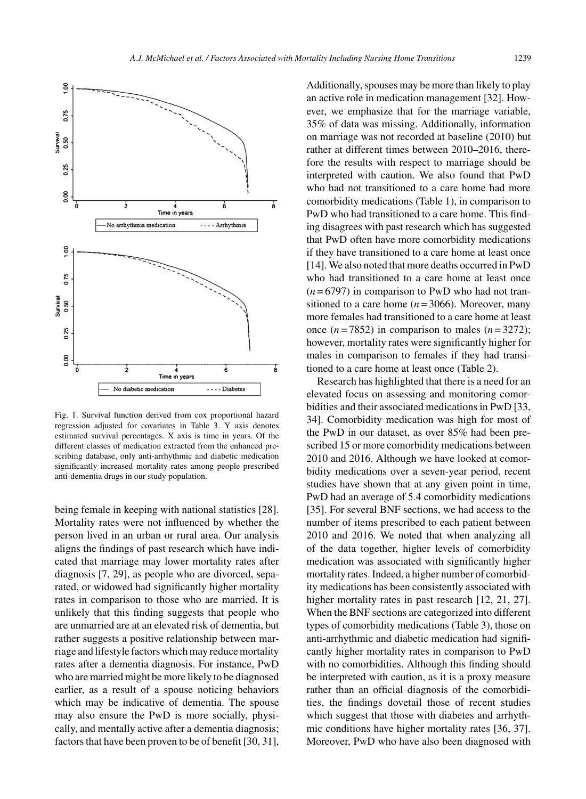

Fig. 1. Survival function derived from cox proportional hazard regression adjusted for covariates in Table 3. Y axis denotes estimated survival percentages. X axis is time in years. Of the different classes of medication extracted from the enhanced prescribing database, only anti-arrhythmic and diabetic medication significantly increased mortality rates among people prescribed anti-dementia drugs in our study population.

being female in keeping with national statistics [28]. Mortality rates were not influenced by whether the person lived in an urban or rural area. Our analysis aligns the findings of past research which have indicated that marriage may lower mortality rates after diagnosis [7, 29], as people who are divorced, separated, or widowed had significantly higher mortality rates in comparison to those who are married. It is unlikely that this finding suggests that people who are unmarried are at an elevated risk of dementia, but rather suggests a positive relationship between marriage and lifestyle factors which may reduce mortality rates after a dementia diagnosis. For instance, PwD who are married might be more likely to be diagnosed earlier, as a result of a spouse noticing behaviors which may be indicative of dementia. The spouse may also ensure the PwD is more socially, physically, and mentally active after a dementia diagnosis; factors that have been proven to be of benefit [30, 31], Additionally, spouses may be more than likely to play an active role in medication management [32]. However, we emphasize that for the marriage variable, 35% of data was missing. Additionally, information on marriage was not recorded at baseline (2010) but rather at different times between 2010–2016, therefore the results with respect to marriage should be interpreted with caution. We also found that PwD who had not transitioned to a care home had more comorbidity medications (Table 1), in comparison to PwD who had transitioned to a care home. This finding disagrees with past research which has suggested that PwD often have more comorbidity medications if they have transitioned to a care home at least once [14]. We also noted that more deaths occurred in PwD who had transitioned to a care home at least once  $(n=6797)$  in comparison to PwD who had not transitioned to a care home  $(n=3066)$ . Moreover, many more females had transitioned to a care home at least once  $(n=7852)$  in comparison to males  $(n=3272)$ ; however, mortality rates were significantly higher for males in comparison to females if they had transitioned to a care home at least once (Table 2).

Research has highlighted that there is a need for an elevated focus on assessing and monitoring comorbidities and their associated medications in PwD [33, 34]. Comorbidity medication was high for most of the PwD in our dataset, as over 85% had been prescribed 15 or more comorbidity medications between 2010 and 2016. Although we have looked at comorbidity medications over a seven-year period, recent studies have shown that at any given point in time, PwD had an average of 5.4 comorbidity medications [35]. For several BNF sections, we had access to the number of items prescribed to each patient between 2010 and 2016. We noted that when analyzing all of the data together, higher levels of comorbidity medication was associated with significantly higher mortality rates. Indeed, a higher number of comorbidity medications has been consistently associated with higher mortality rates in past research [12, 21, 27]. When the BNF sections are categorized into different types of comorbidity medications (Table 3), those on anti-arrhythmic and diabetic medication had significantly higher mortality rates in comparison to PwD with no comorbidities. Although this finding should be interpreted with caution, as it is a proxy measure rather than an official diagnosis of the comorbidities, the findings dovetail those of recent studies which suggest that those with diabetes and arrhythmic conditions have higher mortality rates [36, 37]. Moreover, PwD who have also been diagnosed with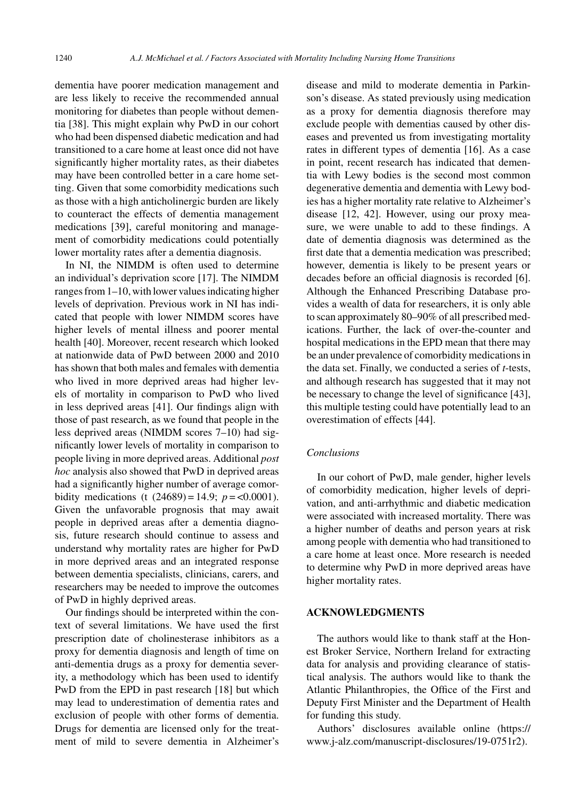dementia have poorer medication management and are less likely to receive the recommended annual monitoring for diabetes than people without dementia [38]. This might explain why PwD in our cohort who had been dispensed diabetic medication and had transitioned to a care home at least once did not have significantly higher mortality rates, as their diabetes may have been controlled better in a care home setting. Given that some comorbidity medications such as those with a high anticholinergic burden are likely to counteract the effects of dementia management medications [39], careful monitoring and management of comorbidity medications could potentially lower mortality rates after a dementia diagnosis.

In NI, the NIMDM is often used to determine an individual's deprivation score [17]. The NIMDM ranges from 1–10, with lower values indicating higher levels of deprivation. Previous work in NI has indicated that people with lower NIMDM scores have higher levels of mental illness and poorer mental health [40]. Moreover, recent research which looked at nationwide data of PwD between 2000 and 2010 has shown that both males and females with dementia who lived in more deprived areas had higher levels of mortality in comparison to PwD who lived in less deprived areas [41]. Our findings align with those of past research, as we found that people in the less deprived areas (NIMDM scores 7–10) had significantly lower levels of mortality in comparison to people living in more deprived areas. Additional *post hoc* analysis also showed that PwD in deprived areas had a significantly higher number of average comorbidity medications (t  $(24689) = 14.9$ ;  $p = <0.0001$ ). Given the unfavorable prognosis that may await people in deprived areas after a dementia diagnosis, future research should continue to assess and understand why mortality rates are higher for PwD in more deprived areas and an integrated response between dementia specialists, clinicians, carers, and researchers may be needed to improve the outcomes of PwD in highly deprived areas.

Our findings should be interpreted within the context of several limitations. We have used the first prescription date of cholinesterase inhibitors as a proxy for dementia diagnosis and length of time on anti-dementia drugs as a proxy for dementia severity, a methodology which has been used to identify PwD from the EPD in past research [18] but which may lead to underestimation of dementia rates and exclusion of people with other forms of dementia. Drugs for dementia are licensed only for the treatment of mild to severe dementia in Alzheimer's

disease and mild to moderate dementia in Parkinson's disease. As stated previously using medication as a proxy for dementia diagnosis therefore may exclude people with dementias caused by other diseases and prevented us from investigating mortality rates in different types of dementia [16]. As a case in point, recent research has indicated that dementia with Lewy bodies is the second most common degenerative dementia and dementia with Lewy bodies has a higher mortality rate relative to Alzheimer's disease [12, 42]. However, using our proxy measure, we were unable to add to these findings. A date of dementia diagnosis was determined as the first date that a dementia medication was prescribed; however, dementia is likely to be present years or decades before an official diagnosis is recorded [6]. Although the Enhanced Prescribing Database provides a wealth of data for researchers, it is only able to scan approximately 80–90% of all prescribed medications. Further, the lack of over-the-counter and hospital medications in the EPD mean that there may be an under prevalence of comorbidity medications in the data set. Finally, we conducted a series of *t*-tests, and although research has suggested that it may not be necessary to change the level of significance [43], this multiple testing could have potentially lead to an overestimation of effects [44].

# *Conclusions*

In our cohort of PwD, male gender, higher levels of comorbidity medication, higher levels of deprivation, and anti-arrhythmic and diabetic medication were associated with increased mortality. There was a higher number of deaths and person years at risk among people with dementia who had transitioned to a care home at least once. More research is needed to determine why PwD in more deprived areas have higher mortality rates.

# **ACKNOWLEDGMENTS**

The authors would like to thank staff at the Honest Broker Service, Northern Ireland for extracting data for analysis and providing clearance of statistical analysis. The authors would like to thank the Atlantic Philanthropies, the Office of the First and Deputy First Minister and the Department of Health for funding this study.

Authors' disclosures available online [\(https://](https://www.j-alz.com/manuscript-disclosures/19-0751r2) [www.j-alz.com/manuscript-disclosures/19-0751r2\)](https://www.j-alz.com/manuscript-disclosures/19-0751r2).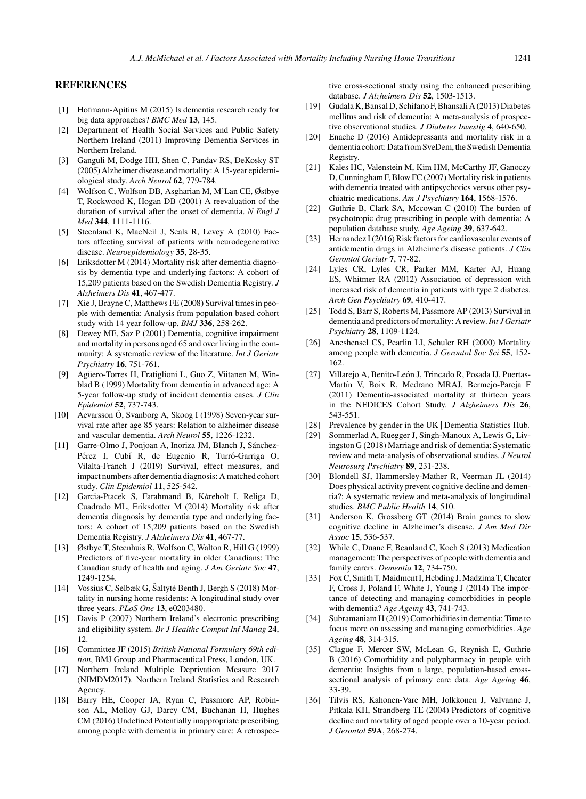#### **REFERENCES**

- [1] Hofmann-Apitius M (2015) Is dementia research ready for big data approaches? *BMC Med* **13**, 145.
- [2] Department of Health Social Services and Public Safety Northern Ireland (2011) Improving Dementia Services in Northern Ireland.
- [3] Ganguli M, Dodge HH, Shen C, Pandav RS, DeKosky ST (2005) Alzheimer disease and mortality: A 15-year epidemiological study. *Arch Neurol* **62**, 779-784.
- [4] Wolfson C, Wolfson DB, Asgharian M, M'Lan CE, Østbye T, Rockwood K, Hogan DB (2001) A reevaluation of the duration of survival after the onset of dementia. *N Engl J Med* **344**, 1111-1116.
- [5] Steenland K, MacNeil J, Seals R, Levey A (2010) Factors affecting survival of patients with neurodegenerative disease. *Neuroepidemiology* **35**, 28-35.
- [6] Eriksdotter M (2014) Mortality risk after dementia diagnosis by dementia type and underlying factors: A cohort of 15,209 patients based on the Swedish Dementia Registry. *J Alzheimers Dis* **41**, 467-477.
- [7] Xie J, Brayne C, Matthews FE (2008) Survival times in people with dementia: Analysis from population based cohort study with 14 year follow-up. *BMJ* **336**, 258-262.
- [8] Dewey ME, Saz P (2001) Dementia, cognitive impairment and mortality in persons aged 65 and over living in the community: A systematic review of the literature. *Int J Geriatr Psychiatry* **16**, 751-761.
- [9] Agüero-Torres H, Fratiglioni L, Guo Z, Viitanen M, Winblad B (1999) Mortality from dementia in advanced age: A 5-year follow-up study of incident dementia cases. *J Clin Epidemiol* **52**, 737-743.
- [10] Aevarsson Ó, Svanborg A, Skoog I (1998) Seven-year survival rate after age 85 years: Relation to alzheimer disease and vascular dementia. *Arch Neurol* **55**, 1226-1232.
- [11] Garre-Olmo J, Ponjoan A, Inoriza JM, Blanch J, Sánchez-Pérez I, Cubí R, de Eugenio R, Turró-Garriga O, Vilalta-Franch J (2019) Survival, effect measures, and impact numbers after dementia diagnosis: A matched cohort study. *Clin Epidemiol* **11**, 525-542.
- [12] Garcia-Ptacek S, Farahmand B, Kåreholt I, Religa D, Cuadrado ML, Eriksdotter M (2014) Mortality risk after dementia diagnosis by dementia type and underlying factors: A cohort of 15,209 patients based on the Swedish Dementia Registry. *J Alzheimers Dis* **41**, 467-77.
- [13] Østbye T, Steenhuis R, Wolfson C, Walton R, Hill G (1999) Predictors of five-year mortality in older Canadians: The Canadian study of health and aging. *J Am Geriatr Soc* **47**, 1249-1254.
- $[14]$  Vossius C, Selbæk G, Šaltytė Benth J, Bergh S (2018) Mortality in nursing home residents: A longitudinal study over three years. *PLoS One* **13**, e0203480.
- [15] Davis P (2007) Northern Ireland's electronic prescribing and eligibility system. *Br J Healthc Comput Inf Manag* **24**, 12.
- [16] Committee JF (2015) *British National Formulary 69th edition*, BMJ Group and Pharmaceutical Press, London, UK.
- [17] Northern Ireland Multiple Deprivation Measure 2017 (NIMDM2017). Northern Ireland Statistics and Research Agency.
- [18] Barry HE, Cooper JA, Ryan C, Passmore AP, Robinson AL, Molloy GJ, Darcy CM, Buchanan H, Hughes CM (2016) Undefined Potentially inappropriate prescribing among people with dementia in primary care: A retrospec-

tive cross-sectional study using the enhanced prescribing database. *J Alzheimers Dis* **52**, 1503-1513.

- [19] Gudala K, Bansal D, Schifano F, Bhansali A (2013) Diabetes mellitus and risk of dementia: A meta-analysis of prospective observational studies. *J Diabetes Investig* **4**, 640-650.
- [20] Enache D (2016) Antidepressants and mortality risk in a dementia cohort: Data from SveDem, the Swedish Dementia Registry.
- [21] Kales HC, Valenstein M, Kim HM, McCarthy JF, Ganoczy D, Cunningham F, Blow FC (2007) Mortality risk in patients with dementia treated with antipsychotics versus other psychiatric medications. *Am J Psychiatry* **164**, 1568-1576.
- [22] Guthrie B, Clark SA, Mccowan C (2010) The burden of psychotropic drug prescribing in people with dementia: A population database study. *Age Ageing* **39**, 637-642.
- [23] Hernandez I (2016) Risk factors for cardiovascular events of antidementia drugs in Alzheimer's disease patients. *J Clin Gerontol Geriatr* **7**, 77-82.
- [24] Lyles CR, Lyles CR, Parker MM, Karter AJ, Huang ES, Whitmer RA (2012) Association of depression with increased risk of dementia in patients with type 2 diabetes. *Arch Gen Psychiatry* **69**, 410-417.
- [25] Todd S, Barr S, Roberts M, Passmore AP (2013) Survival in dementia and predictors of mortality: A review.*Int J Geriatr Psychiatry* **28**, 1109-1124.
- [26] Aneshensel CS, Pearlin LI, Schuler RH (2000) Mortality among people with dementia. *J Gerontol Soc Sci* **55**, 152- 162.
- [27] Villarejo A, Benito-León J, Trincado R, Posada IJ, Puertas-Martín V, Boix R, Medrano MRAJ, Bermejo-Pareja F (2011) Dementia-associated mortality at thirteen years in the NEDICES Cohort Study. *J Alzheimers Dis* **26**, 543-551.
- [28] Prevalence by gender in the UK | Dementia Statistics Hub.
- [29] Sommerlad A, Ruegger J, Singh-Manoux A, Lewis G, Livingston G (2018) Marriage and risk of dementia: Systematic review and meta-analysis of observational studies. *J Neurol Neurosurg Psychiatry* **89**, 231-238.
- [30] Blondell SJ, Hammersley-Mather R, Veerman JL (2014) Does physical activity prevent cognitive decline and dementia?: A systematic review and meta-analysis of longitudinal studies. *BMC Public Health* **14**, 510.
- [31] Anderson K, Grossberg GT (2014) Brain games to slow cognitive decline in Alzheimer's disease. *J Am Med Dir Assoc* **15**, 536-537.
- [32] While C, Duane F, Beanland C, Koch S (2013) Medication management: The perspectives of people with dementia and family carers. *Dementia* **12**, 734-750.
- [33] Fox C, Smith T, Maidment I, Hebding J, Madzima T, Cheater F, Cross J, Poland F, White J, Young J (2014) The importance of detecting and managing comorbidities in people with dementia? *Age Ageing* **43**, 741-743.
- [34] Subramaniam H (2019) Comorbidities in dementia: Time to focus more on assessing and managing comorbidities. *Age Ageing* **48**, 314-315.
- [35] Clague F, Mercer SW, McLean G, Reynish E, Guthrie B (2016) Comorbidity and polypharmacy in people with dementia: Insights from a large, population-based crosssectional analysis of primary care data. *Age Ageing* **46**, 33-39.
- [36] Tilvis RS, Kahonen-Vare MH, Jolkkonen J, Valvanne J, Pitkala KH, Strandberg TE (2004) Predictors of cognitive decline and mortality of aged people over a 10-year period. *J Gerontol* **59A**, 268-274.